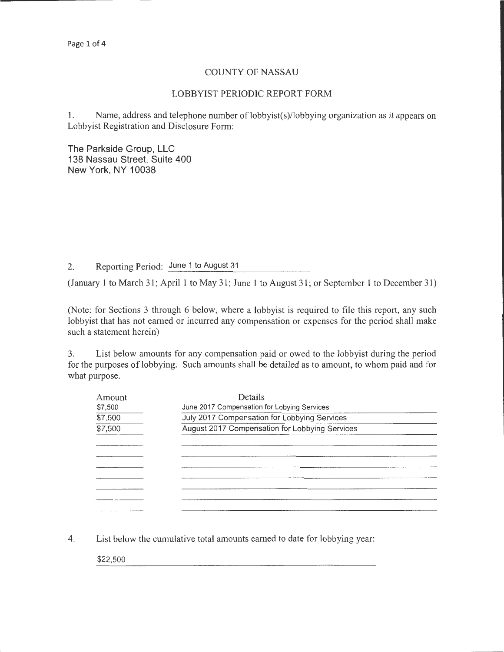## COUNTY OF NASSAU

## LOBBYIST PERIODIC REPORT FORM

1. Name, address and telephone number of lobbyist(s)/lobbying organization as it appears on Lobbyist Registration and Disclosure Form:

The Parkside Group, LLC 138 Nassau Street, Suite 400 New York, NY 10038

2. Reporting Period: June 1 to August 31

(January 1 to March 31; April 1 to May 31; June 1 to August 31; or September 1 to December 31)

(Note: for Sections 3 through 6 below, where a lobbyist is required to file this report, any such lobbyist that has not earned or incurred any compensation or expenses for the period shall make such a statement herein)

3. List below amounts for any compensation paid or owed to the lobbyist during the period for the purposes of lobbying. Such amounts shall be detailed as to amount, to whom paid and for what purpose.

| Amount  | Details                                                                                        |  |  |  |
|---------|------------------------------------------------------------------------------------------------|--|--|--|
| \$7,500 | June 2017 Compensation for Lobying Services                                                    |  |  |  |
| \$7,500 | July 2017 Compensation for Lobbying Services<br>August 2017 Compensation for Lobbying Services |  |  |  |
| 37,500  |                                                                                                |  |  |  |
|         |                                                                                                |  |  |  |
|         |                                                                                                |  |  |  |
|         |                                                                                                |  |  |  |
|         |                                                                                                |  |  |  |
|         |                                                                                                |  |  |  |
|         |                                                                                                |  |  |  |
|         |                                                                                                |  |  |  |

4. List below the cumulative total amounts earned to date for lobbying year:

\$22,500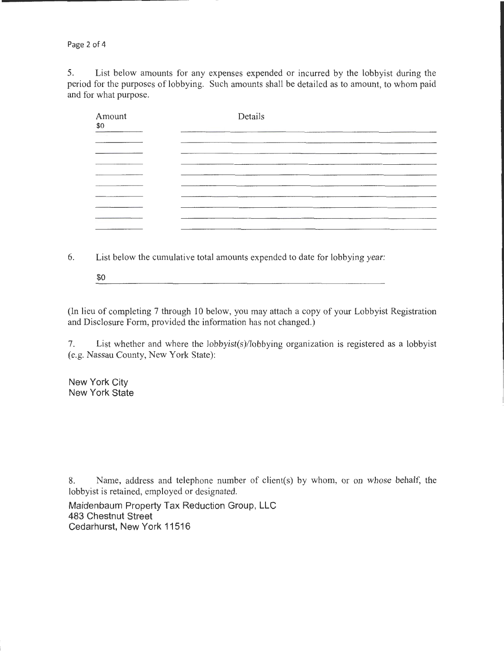5. List below amounts for any expenses expended or incurred by the lobbyist during the period for the purposes of lobbying. Such amounts shall be detailed as to amount, to whom paid and for what purpose.

| Amount<br>\$0 | Details                 |  |
|---------------|-------------------------|--|
|               |                         |  |
|               |                         |  |
|               |                         |  |
|               |                         |  |
|               |                         |  |
|               | $-$<br>________<br>____ |  |
|               |                         |  |

6. List below the cumulative total amounts expended to date for lobbying year:

\$0

(In lieu of completing 7 through 10 below, you may attach a copy of your Lobbyist Registration and Disclosure Form, provided the information has not changed.)

7. List whether and where the lobbyist(s)/lobbying organization is registered as a lobbyist (e.g. Nassau County, New York State):

New York City New York State

8. Name, address and telephone number of client(s) by whom, or on whose behalf, the lobbyist is retained, employed or designated.

Maidenbaum Property Tax Reduction Group, LLC 483 Chestnut Street Cedarhurst, New York 11516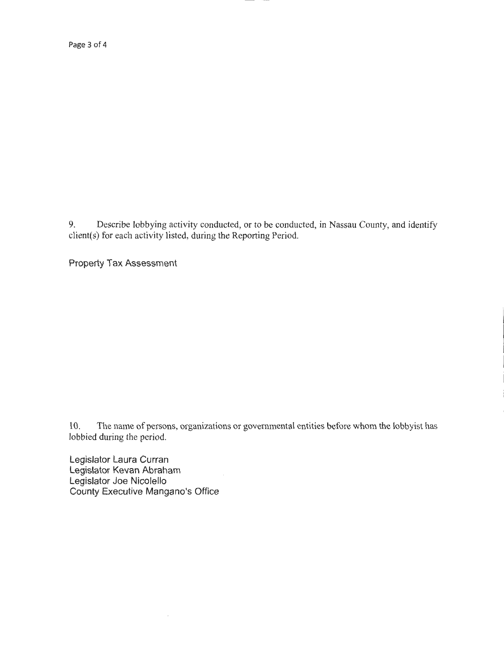9. Describe lobbying activity conducted, or to be conducted, in Nassau County, and identify client(s) for each activity listed, during the Reporting Period.

Property Tax Assessment

10. The name of persons, organizations or governmental entities before whom the lobbyist has lobbied during the period.

Legislator Laura Curran Legislator Kevan Abraham Legislator Joe Nicolello County Executive Mangano's Office